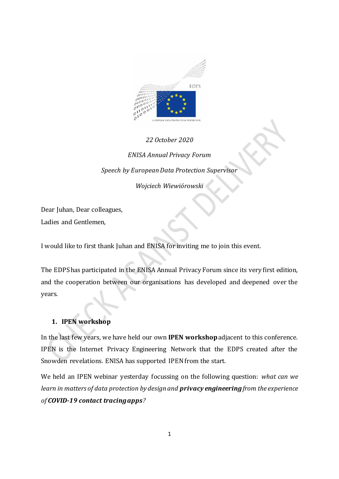

# *22 October 2020 ENISA Annual Privacy Forum Speech by European Data Protection Supervisor Wojciech Wiewiórowski*

Dear Juhan, Dear colleagues, Ladies and Gentlemen,

I would like to first thank Juhan and ENISA for inviting me to join this event.

The EDPS has participated in the ENISA Annual Privacy Forum since its very first edition, and the cooperation between our organisations has developed and deepened over the years.

## **1. IPEN workshop**

In the last few years, we have held our own **IPEN workshop** adjacent to this conference. IPEN is the Internet Privacy Engineering Network that the EDPS created after the Snowden revelations. ENISA has supported IPEN from the start.

We held an IPEN webinar yesterday focussing on the following question: *what can we learn in matters of data protection by design and privacy engineeringfrom the experience of COVID-19 contact tracing apps?*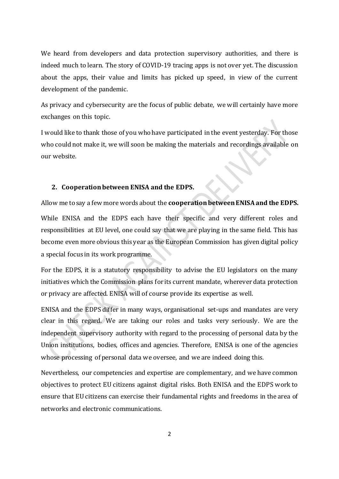We heard from developers and data protection supervisory authorities, and there is indeed much to learn. The story of COVID-19 tracing apps is not over yet. The discussion about the apps, their value and limits has picked up speed, in view of the current development of the pandemic.

As privacy and cybersecurity are the focus of public debate, we will certainly have more exchanges on this topic.

I would like to thank those of you who have participated in the event yesterday. For those who could not make it, we will soon be making the materials and recordings available on our website.

#### **2. Cooperation between ENISA and the EDPS.**

Allow me to say a few more words about the **cooperation between ENISA and the EDPS.** While ENISA and the EDPS each have their specific and very different roles and responsibilities at EU level, one could say that we are playing in the same field. This has become even more obvious this year as the European Commission has given digital policy a special focus in its work programme.

For the EDPS, it is a statutory responsibility to advise the EU legislators on the many initiatives which the Commission plans for its current mandate, wherever data protection or privacy are affected. ENISA will of course provide its expertise as well.

ENISA and the EDPS differ in many ways, organisational set-ups and mandates are very clear in this regard. We are taking our roles and tasks very seriously. We are the independent supervisory authority with regard to the processing of personal data by the Union institutions, bodies, offices and agencies. Therefore, ENISA is one of the agencies whose processing of personal data we oversee, and we are indeed doing this.

Nevertheless, our competencies and expertise are complementary, and we have common objectives to protect EU citizens against digital risks. Both ENISA and the EDPS work to ensure that EU citizens can exercise their fundamental rights and freedoms in the area of networks and electronic communications.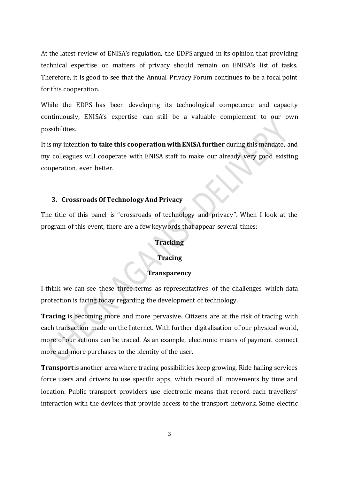At the latest review of ENISA's regulation, the EDPS argued in its opinion that providing technical expertise on matters of privacy should remain on ENISA's list of tasks. Therefore, it is good to see that the Annual Privacy Forum continues to be a focal point for this cooperation.

While the EDPS has been developing its technological competence and capacity continuously, ENISA's expertise can still be a valuable complement to our own possibilities.

It is my intention **to take this cooperation with ENISA further** during this mandate, and my colleagues will cooperate with ENISA staff to make our already very good existing cooperation, even better.

#### **3. Crossroads Of Technology And Privacy**

The title of this panel is "crossroads of technology and privacy". When I look at the program of this event, there are a few keywords that appear several times:

#### **Tracking**

### **Tracing**

## **Transparency**

I think we can see these three terms as representatives of the challenges which data protection is facing today regarding the development of technology.

**Tracing** is becoming more and more pervasive. Citizens are at the risk of tracing with each transaction made on the Internet. With further digitalisation of our physical world, more of our actions can be traced. As an example, electronic means of payment connect more and more purchases to the identity of the user.

**Transport** is another area where tracing possibilities keep growing. Ride hailing services force users and drivers to use specific apps, which record all movements by time and location. Public transport providers use electronic means that record each travellers' interaction with the devices that provide access to the transport network. Some electric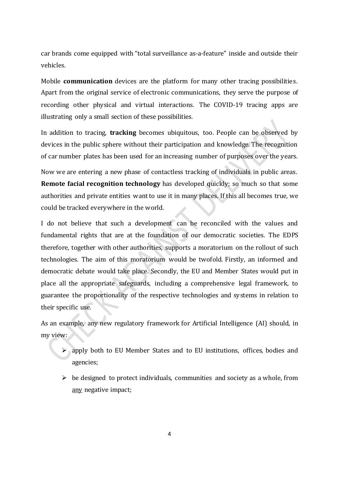car brands come equipped with "total surveillance as-a-feature" inside and outside their vehicles.

Mobile **communication** devices are the platform for many other tracing possibilities. Apart from the original service of electronic communications, they serve the purpose of recording other physical and virtual interactions. The COVID-19 tracing apps are illustrating only a small section of these possibilities.

In addition to tracing, **tracking** becomes ubiquitous, too. People can be observed by devices in the public sphere without their participation and knowledge. The recognition of car number plates has been used for an increasing number of purposes over the years.

Now we are entering a new phase of contactless tracking of individuals in public areas. **Remote facial recognition technology** has developed quickly; so much so that some authorities and private entities want to use it in many places. If this all becomes true, we could be tracked everywhere in the world.

I do not believe that such a development can be reconciled with the values and fundamental rights that are at the foundation of our democratic societies. The EDPS therefore, together with other authorities, supports a moratorium on the rollout of such technologies. The aim of this moratorium would be twofold. Firstly, an informed and democratic debate would take place. Secondly, the EU and Member States would put in place all the appropriate safeguards, including a comprehensive legal framework, to guarantee the proportionality of the respective technologies and systems in relation to their specific use.

As an example, any new regulatory framework for Artificial Intelligence (AI) should, in my view:

- apply both to EU Member States and to EU institutions, offices, bodies and agencies;
- $\triangleright$  be designed to protect individuals, communities and society as a whole, from any negative impact;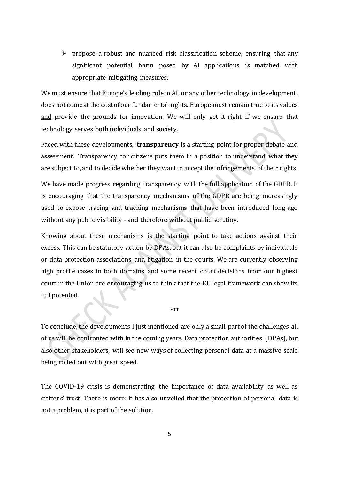$\triangleright$  propose a robust and nuanced risk classification scheme, ensuring that any significant potential harm posed by AI applications is matched with appropriate mitigating measures.

We must ensure that Europe's leading role in AI, or any other technology in development, does not come at the cost of our fundamental rights. Europe must remain true to its values and provide the grounds for innovation. We will only get it right if we ensure that technology serves both individuals and society.

Faced with these developments, **transparency** is a starting point for proper debate and assessment. Transparency for citizens puts them in a position to understand what they are subject to, and to decide whether they want to accept the infringements of their rights.

We have made progress regarding transparency with the full application of the GDPR. It is encouraging that the transparency mechanisms of the GDPR are being increasingly used to expose tracing and tracking mechanisms that have been introduced long ago without any public visibility - and therefore without public scrutiny.

Knowing about these mechanisms is the starting point to take actions against their excess. This can be statutory action by DPAs, but it can also be complaints by individuals or data protection associations and litigation in the courts. We are currently observing high profile cases in both domains and some recent court decisions from our highest court in the Union are encouraging us to think that the EU legal framework can show its full potential.

To conclude, the developments I just mentioned are only a small part of the challenges all of us will be confronted with in the coming years. Data protection authorities (DPAs), but also other stakeholders, will see new ways of collecting personal data at a massive scale being rolled out with great speed.

\*\*\*

The COVID-19 crisis is demonstrating the importance of data availability as well as citizens' trust. There is more: it has also unveiled that the protection of personal data is not a problem, it is part of the solution.